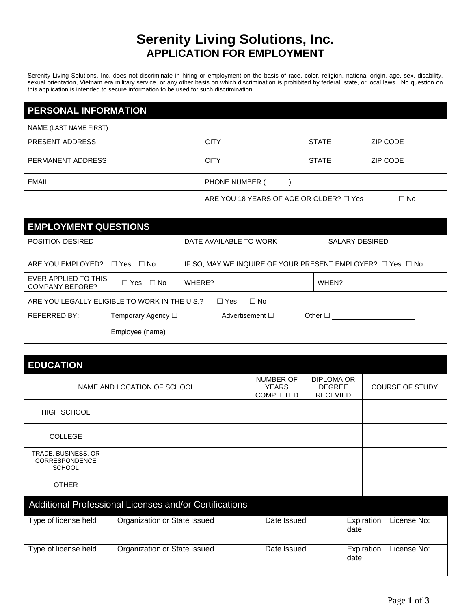## **Serenity Living Solutions, Inc. APPLICATION FOR EMPLOYMENT**

Serenity Living Solutions, Inc. does not discriminate in hiring or employment on the basis of race, color, religion, national origin, age, sex, disability, sexual orientation, Vietnam era military service, or any other basis on which discrimination is prohibited by federal, state, or local laws. No question on this application is intended to secure information to be used for such discrimination.

| <b>PERSONAL INFORMATION</b> |                                              |              |          |
|-----------------------------|----------------------------------------------|--------------|----------|
| NAME (LAST NAME FIRST)      |                                              |              |          |
| PRESENT ADDRESS             | <b>CITY</b>                                  | <b>STATE</b> | ZIP CODE |
| PERMANENT ADDRESS           | <b>CITY</b>                                  | <b>STATE</b> | ZIP CODE |
| EMAIL:                      | PHONE NUMBER (                               |              |          |
|                             | ARE YOU 18 YEARS OF AGE OR OLDER? $\Box$ Yes |              | □ No     |

| <b>EMPLOYMENT QUESTIONS</b>                                            |                                                                                                                |                                                                      |  |  |  |
|------------------------------------------------------------------------|----------------------------------------------------------------------------------------------------------------|----------------------------------------------------------------------|--|--|--|
| <b>POSITION DESIRED</b>                                                | DATE AVAILABLE TO WORK                                                                                         | <b>SALARY DESIRED</b>                                                |  |  |  |
| ARE YOU EMPLOYED? $\Box$ Yes $\Box$ No                                 |                                                                                                                | IF SO, MAY WE INQUIRE OF YOUR PRESENT EMPLOYER? $\Box$ Yes $\Box$ No |  |  |  |
| EVER APPLIED TO THIS<br>$\Box$ Yes $\Box$ No<br><b>COMPANY BEFORE?</b> | WHERE?                                                                                                         | WHEN?                                                                |  |  |  |
| ARE YOU LEGALLY ELIGIBLE TO WORK IN THE U.S.?<br>⊟ Yes<br>⊟ No         |                                                                                                                |                                                                      |  |  |  |
| <b>REFERRED BY:</b><br>Temporary Agency $\Box$                         | Advertisement $\square$                                                                                        | Other $\square$                                                      |  |  |  |
|                                                                        | Employee (name) expansion of the state of the state of the state of the state of the state of the state of the |                                                                      |  |  |  |

|  |  |  | <b>EDUCATION</b> |  |  |  |
|--|--|--|------------------|--|--|--|
|--|--|--|------------------|--|--|--|

| NAME AND LOCATION OF SCHOOL                                   |                              | NUMBER OF<br><b>YEARS</b><br><b>COMPLETED</b> | DIPLOMA OR<br><b>DEGREE</b><br><b>RECEVIED</b> |                    | <b>COURSE OF STUDY</b> |
|---------------------------------------------------------------|------------------------------|-----------------------------------------------|------------------------------------------------|--------------------|------------------------|
| <b>HIGH SCHOOL</b>                                            |                              |                                               |                                                |                    |                        |
| <b>COLLEGE</b>                                                |                              |                                               |                                                |                    |                        |
| TRADE, BUSINESS, OR<br><b>CORRESPONDENCE</b><br><b>SCHOOL</b> |                              |                                               |                                                |                    |                        |
| <b>OTHER</b>                                                  |                              |                                               |                                                |                    |                        |
| Additional Professional Licenses and/or Certifications        |                              |                                               |                                                |                    |                        |
| Type of license held                                          | Organization or State Issued | Date Issued                                   |                                                | Expiration<br>date | License No:            |
| Type of license held                                          | Organization or State Issued | Date Issued                                   |                                                | Expiration<br>date | License No:            |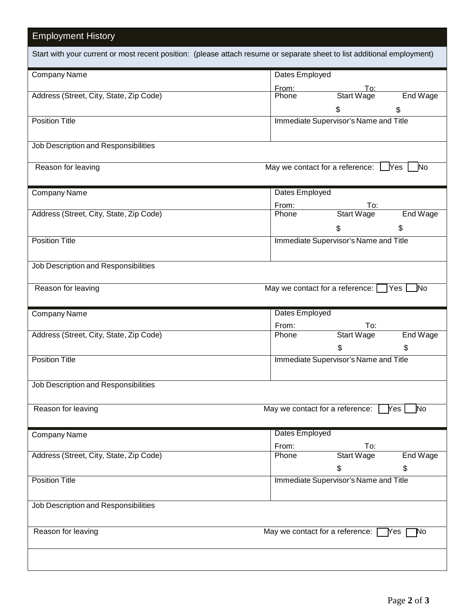| <b>Employment History</b>                                                                                               |                                                        |
|-------------------------------------------------------------------------------------------------------------------------|--------------------------------------------------------|
| Start with your current or most recent position: (please attach resume or separate sheet to list additional employment) |                                                        |
| Company Name                                                                                                            | Dates Employed                                         |
|                                                                                                                         | From:<br>To:                                           |
| Address (Street, City, State, Zip Code)                                                                                 | End Wage<br>Start Wage<br>Phone                        |
|                                                                                                                         | \$<br>\$                                               |
| <b>Position Title</b>                                                                                                   | Immediate Supervisor's Name and Title                  |
| Job Description and Responsibilities                                                                                    |                                                        |
| Reason for leaving                                                                                                      | May we contact for a reference: $\Box$ Yes<br>No       |
| Company Name                                                                                                            | Dates Employed                                         |
|                                                                                                                         | From:<br>To:                                           |
| Address (Street, City, State, Zip Code)                                                                                 | End Wage<br><b>Start Wage</b><br>Phone                 |
|                                                                                                                         | \$<br>\$                                               |
| <b>Position Title</b>                                                                                                   | Immediate Supervisor's Name and Title                  |
|                                                                                                                         |                                                        |
| Job Description and Responsibilities                                                                                    |                                                        |
| Reason for leaving                                                                                                      | May we contact for a reference: $\square$<br>$Yes$ No  |
| Company Name                                                                                                            | Dates Employed                                         |
|                                                                                                                         | From:<br>To:<br><b>Start Wage</b><br>End Wage<br>Phone |
| Address (Street, City, State, Zip Code)                                                                                 | \$                                                     |
| <b>Position Title</b>                                                                                                   | \$                                                     |
|                                                                                                                         | Immediate Supervisor's Name and Title                  |
| Job Description and Responsibilities                                                                                    |                                                        |
| Reason for leaving                                                                                                      | May we contact for a reference:<br>Yes<br>No.          |
|                                                                                                                         |                                                        |
| Company Name                                                                                                            | Dates Employed                                         |
|                                                                                                                         | From:<br>To:                                           |
| Address (Street, City, State, Zip Code)                                                                                 | <b>Start Wage</b><br>End Wage<br>Phone                 |
|                                                                                                                         | \$<br>\$                                               |
| <b>Position Title</b>                                                                                                   | Immediate Supervisor's Name and Title                  |
| Job Description and Responsibilities                                                                                    |                                                        |
| Reason for leaving                                                                                                      | May we contact for a reference:<br>lYes.<br>No         |
|                                                                                                                         |                                                        |